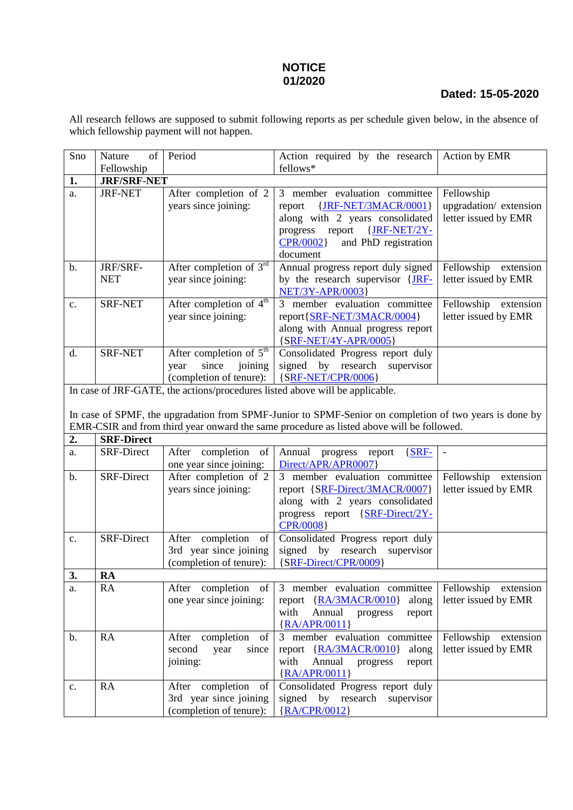## **NOTICE 01/2020**

## **Dated: 15-05-2020**

All research fellows are supposed to submit following reports as per schedule given below, in the absence of which fellowship payment will not happen.

| Sno                                                                                                                                                                                                | of<br>Nature           | Period                                                                                     | Action required by the research                                                                                                                                                                 | Action by EMR                                               |
|----------------------------------------------------------------------------------------------------------------------------------------------------------------------------------------------------|------------------------|--------------------------------------------------------------------------------------------|-------------------------------------------------------------------------------------------------------------------------------------------------------------------------------------------------|-------------------------------------------------------------|
|                                                                                                                                                                                                    | Fellowship             |                                                                                            | fellows*                                                                                                                                                                                        |                                                             |
| <b>JRF/SRF-NET</b><br>1.                                                                                                                                                                           |                        |                                                                                            |                                                                                                                                                                                                 |                                                             |
| a.                                                                                                                                                                                                 | <b>JRF-NET</b>         | After completion of 2<br>years since joining:                                              | 3 member evaluation committee<br>{JRF-NET/3MACR/0001}<br>report<br>along with 2 years consolidated<br>{JRF-NET/2Y-<br>report<br>progress<br><b>CPR/0002</b><br>and PhD registration<br>document | Fellowship<br>upgradation/extension<br>letter issued by EMR |
| $\mathbf b$ .                                                                                                                                                                                      | JRF/SRF-<br><b>NET</b> | After completion of $3rd$<br>year since joining:                                           | Annual progress report duly signed<br>by the research supervisor {JRF-<br><b>NET/3Y-APR/0003</b>                                                                                                | Fellowship<br>extension<br>letter issued by EMR             |
| c.                                                                                                                                                                                                 | <b>SRF-NET</b>         | After completion of 4 <sup>th</sup><br>year since joining:                                 | 3 member evaluation committee<br>report{SRF-NET/3MACR/0004}<br>along with Annual progress report<br>{SRF-NET/4Y-APR/0005}                                                                       | Fellowship extension<br>letter issued by EMR                |
| d.                                                                                                                                                                                                 | <b>SRF-NET</b>         | After completion of 5 <sup>th</sup><br>since<br>joining<br>year<br>(completion of tenure): | Consolidated Progress report duly<br>signed by research<br>supervisor<br>${SRF-NET/CPR/0006}$                                                                                                   |                                                             |
| In case of JRF-GATE, the actions/procedures listed above will be applicable.                                                                                                                       |                        |                                                                                            |                                                                                                                                                                                                 |                                                             |
| In case of SPMF, the upgradation from SPMF-Junior to SPMF-Senior on completion of two years is done by<br>EMR-CSIR and from third year onward the same procedure as listed above will be followed. |                        |                                                                                            |                                                                                                                                                                                                 |                                                             |
| 2.<br><b>SRF-Direct</b>                                                                                                                                                                            |                        |                                                                                            |                                                                                                                                                                                                 |                                                             |
| a.                                                                                                                                                                                                 | <b>SRF-Direct</b>      | After completion<br>of<br>one year since joining:                                          | Annual<br>$\{SRF-$<br>progress<br>report<br>Direct/APR/APR0007}                                                                                                                                 | $\bar{\phantom{a}}$                                         |
| b.                                                                                                                                                                                                 | <b>SRF-Direct</b>      | After completion of 2<br>years since joining:                                              | 3 member evaluation committee<br>report {SRF-Direct/3MACR/0007}<br>along with 2 years consolidated<br>progress report {SRF-Direct/2Y-<br><b>CPR/0008</b>                                        | Fellowship extension<br>letter issued by EMR                |
| $\mathbf{c}.$                                                                                                                                                                                      | <b>SRF-Direct</b>      | completion of<br>After<br>3rd year since joining<br>(completion of tenure):                | Consolidated Progress report duly<br>by research<br>signed<br>supervisor<br>{SRF-Direct/CPR/0009}                                                                                               |                                                             |
| 3.                                                                                                                                                                                                 | <b>RA</b>              |                                                                                            |                                                                                                                                                                                                 |                                                             |
| a.                                                                                                                                                                                                 | RA                     | After completion<br>- of<br>one year since joining:                                        | 3 member evaluation committee<br>report {RA/3MACR/0010}<br>along<br>Annual<br>with<br>progress<br>report<br>${RA/APR/0011}$                                                                     | Fellowship extension<br>letter issued by EMR                |
| $\mathbf b$ .                                                                                                                                                                                      | <b>RA</b>              | completion<br>After<br>of<br>second<br>since<br>year<br>joining:                           | 3 member evaluation committee<br>report $\{RA/3MACR/0010\}$<br>along<br>Annual<br>with<br>progress<br>report<br>${RA/APR/0011}$                                                                 | Fellowship<br>extension<br>letter issued by EMR             |

Consolidated Progress report duly<br>signed by research supervisor

signed by {RA/CPR/0012}

c. RA After completion of

3rd year since joining (completion of tenure):